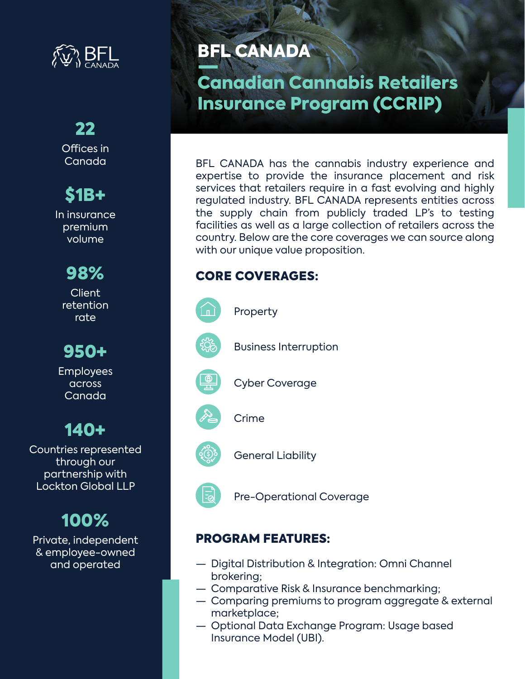

### 22 Offices in Canada

# \$1B+

In insurance premium volume

> 98% **Client**

retention rate

950+

Employees across Canada

140+

Countries represented through our partnership with Lockton Global LLP

## 100%

Private, independent & employee-owned and operated

## BFL CANADA

Canadian Cannabis Retailers Insurance Program (CCRIP)

BFL CANADA has the cannabis industry experience and expertise to provide the insurance placement and risk services that retailers require in a fast evolving and highly regulated industry. BFL CANADA represents entities across the supply chain from publicly traded LP's to testing facilities as well as a large collection of retailers across the country. Below are the core coverages we can source along with our unique value proposition.

## CORE COVERAGES:



Property



Business Interruption



Cyber Coverage



 $|\vec{z}|$ 

General Liability

Pre-Operational Coverage

## PROGRAM FEATURES:

- Digital Distribution & Integration: Omni Channel brokering;
- Comparative Risk & Insurance benchmarking;
- Comparing premiums to program aggregate & external marketplace;
- Optional Data Exchange Program: Usage based Insurance Model (UBI).